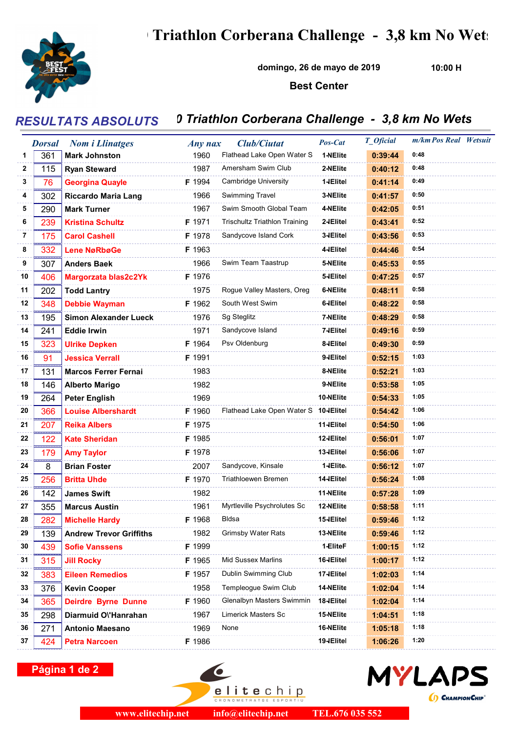## Triathlon Corberana Challenge - 3,8 km No Wets



domingo, 26 de mayo de 2019

10:00 H

## Best Center

## RESULTATS ABSOLUTS 0 Triathlon Corberana Challenge - 3,8 km No Wets

|    | <b>Dorsal</b> | <b>Nom i Llinatges</b>         | Any nax | <b>Club/Ciutat</b>                    | Pos-Cat    | <b>T</b> Oficial | m/km Pos Real Wetsuit |  |
|----|---------------|--------------------------------|---------|---------------------------------------|------------|------------------|-----------------------|--|
| 1  | 361           | <b>Mark Johnston</b>           | 1960    | Flathead Lake Open Water S            | 1-NEIite   | 0:39:44          | 0:48                  |  |
| 2  | 115           | <b>Ryan Steward</b>            | 1987    | Amersham Swim Club                    | 2-NEIite   | 0:40:12          | 0:48                  |  |
| 3  | 76            | <b>Georgina Quayle</b>         | F 1994  | <b>Cambridge University</b>           | 1-IElitel  | 0:41:14          | 0:49                  |  |
| 4  | 302           | <b>Riccardo Maria Lang</b>     | 1966    | <b>Swimming Travel</b>                | 3-NEIite   | 0:41:57          | 0:50                  |  |
| 5  | 290           | <b>Mark Turner</b>             | 1967    | Swim Smooth Global Team               | 4-NEIite   | 0:42:05          | 0:51                  |  |
| 6  | 239           | <b>Kristina Schultz</b>        | F 1971  | <b>Trischultz Triathlon Training</b>  | 2-IElitel  | 0:43:41          | 0:52                  |  |
| 7  | 175           | <b>Carol Cashell</b>           | F 1978  | Sandycove Island Cork                 | 3-IElitel  | 0:43:56          | 0:53                  |  |
| 8  | 332           | <b>Lene NøRbøGe</b>            | F 1963  |                                       | 4-IElitel  | 0:44:46          | 0:54                  |  |
| 9  | 307           | <b>Anders Baek</b>             | 1966    | Swim Team Taastrup                    | 5-NElite   | 0:45:53          | 0:55                  |  |
| 10 | 406           | Margorzata blas2c2Yk           | F 1976  |                                       | 5-IElitel  | 0:47:25          | 0:57                  |  |
| 11 | 202           | <b>Todd Lantry</b>             | 1975    | Rogue Valley Masters, Oreg            | 6-NEIite   | 0:48:11          | 0:58                  |  |
| 12 | 348           | <b>Debbie Wayman</b>           | F 1962  | South West Swim                       | 6-IElitel  | 0:48:22          | 0:58                  |  |
| 13 | 195           | <b>Simon Alexander Lueck</b>   | 1976    | Sg Steglitz                           | 7-NEIite   | 0:48:29          | 0:58                  |  |
| 14 | 241           | <b>Eddie Irwin</b>             | 1971    | Sandycove Island                      | 7-IElitel  | 0:49:16          | 0:59                  |  |
| 15 | 323           | <b>Ulrike Depken</b>           | F 1964  | Psv Oldenburg                         | 8-IEIitel  | 0:49:30          | 0:59                  |  |
| 16 | 91            | <b>Jessica Verrall</b>         | F 1991  |                                       | 9-IElitel  | 0:52:15          | 1:03                  |  |
| 17 | 131           | <b>Marcos Ferrer Fernai</b>    | 1983    |                                       | 8-NEIite   | 0:52:21          | 1:03                  |  |
| 18 | 146           | <b>Alberto Marigo</b>          | 1982    |                                       | 9-NEIite   | 0:53:58          | 1:05                  |  |
| 19 | 264           | <b>Peter English</b>           | 1969    |                                       | 10-NElite  | 0:54:33          | 1:05                  |  |
| 20 | 366           | <b>Louise Albershardt</b>      | F 1960  | Flathead Lake Open Water S 10-IElitel |            | 0:54:42          | 1:06                  |  |
| 21 | 207           | <b>Reika Albers</b>            | F 1975  |                                       | 11-IElitel | 0:54:50          | 1:06                  |  |
| 22 | 122           | <b>Kate Sheridan</b>           | F 1985  |                                       | 12-IElitel | 0:56:01          | 1:07                  |  |
| 23 | 179           | <b>Amy Taylor</b>              | F 1978  |                                       | 13-IElitel | 0:56:06          | 1:07                  |  |
| 24 | 8             | <b>Brian Foster</b>            | 2007    | Sandycove, Kinsale                    | 1-IElite   | 0:56:12          | 1:07                  |  |
| 25 | 256           | <b>Britta Uhde</b>             | F 1970  | Triathloewen Bremen                   | 14-IElitel | 0:56:24          | 1:08                  |  |
| 26 | 142           | <b>James Swift</b>             | 1982    |                                       | 11-NElite  | 0:57:28          | 1:09                  |  |
| 27 | 355           | <b>Marcus Austin</b>           | 1961    | Myrtleville Psychrolutes Sc           | 12-NElite  | 0:58:58          | 1:11                  |  |
| 28 | 282           | <b>Michelle Hardy</b>          | F 1968  | Bldsa                                 | 15-IElitel | 0:59:46          | 1:12                  |  |
| 29 | 139           | <b>Andrew Trevor Griffiths</b> | 1982    | <b>Grimsby Water Rats</b>             | 13-NEIite  | 0:59:46          | 1:12                  |  |
| 30 | 439           | <b>Sofie Vanssens</b>          | F 1999  |                                       | 1-EliteF   | 1:00:15          | 1:12                  |  |
| 31 | 315           | <b>Jill Rocky</b>              | F 1965  | <b>Mid Sussex Marlins</b>             | 16-IElitel | 1:00:17          | 1:12                  |  |
| 32 | 383           | <b>Eileen Remedios</b>         | F 1957  | Dublin Swimming Club                  | 17-IElitel | 1:02:03          | 1:14                  |  |
| 33 | 376           | <b>Kevin Cooper</b>            | 1958    | Templeogue Swim Club                  | 14-NElite  | 1:02:04          | 1:14                  |  |
| 34 | 365           | <b>Deirdre Byrne Dunne</b>     | F 1960  | Glenalbyn Masters Swimmin             | 18-IElitel | 1:02:04          | 1:14                  |  |
| 35 | 298           | Diarmuid Ol'Hanrahan           | 1967    | Limerick Masters Sc                   | 15-NElite  | 1:04:51          | 1:18                  |  |
| 36 | 271           | Antonio Maesano                | 1969    | None                                  | 16-NElite  | 1:05:18          | 1:18                  |  |
| 37 | 424           | <b>Petra Narcoen</b>           | F 1986  |                                       | 19-IElitel | 1:06:26          | 1:20                  |  |